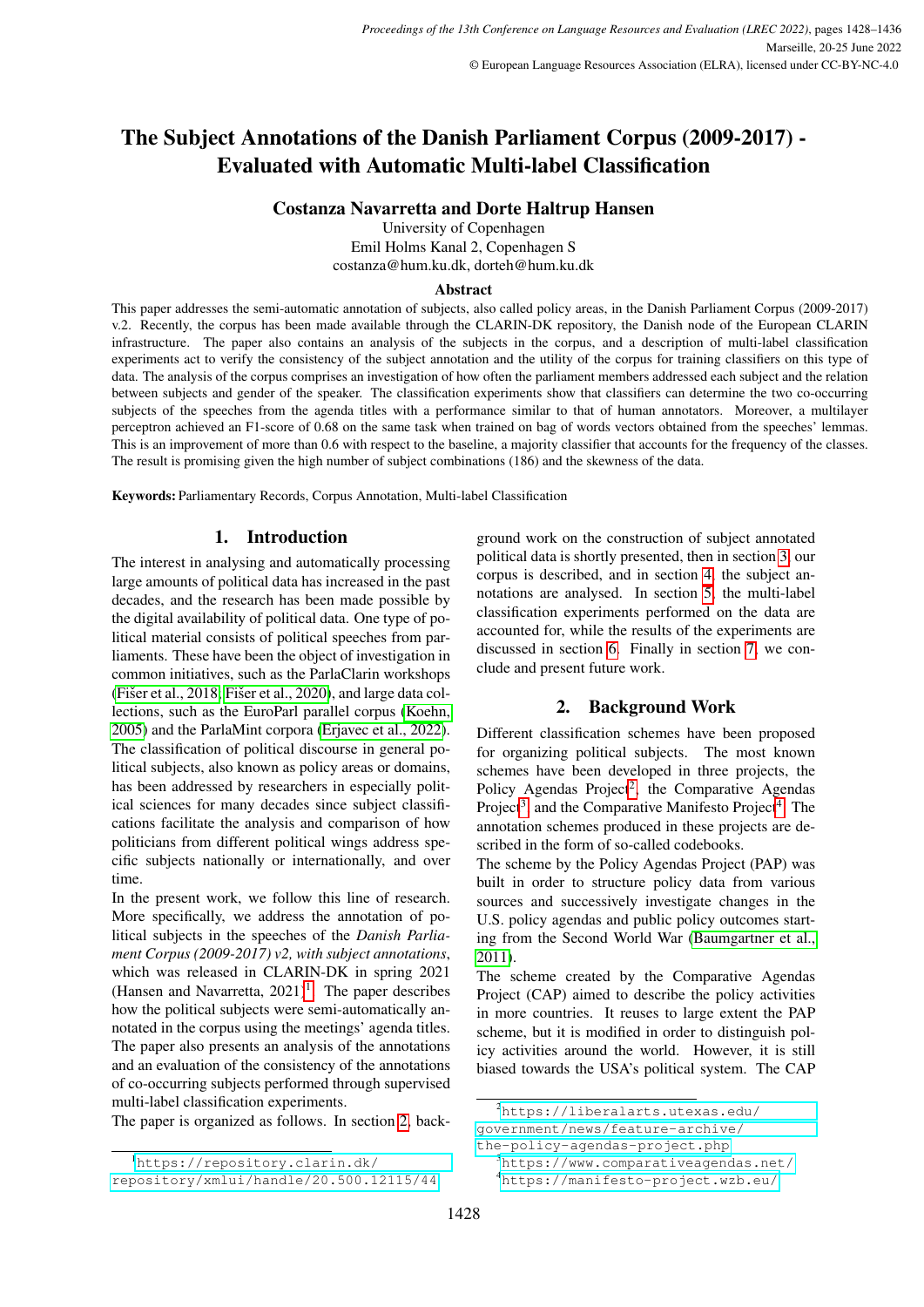# The Subject Annotations of the Danish Parliament Corpus (2009-2017) - Evaluated with Automatic Multi-label Classification

# Costanza Navarretta and Dorte Haltrup Hansen

University of Copenhagen Emil Holms Kanal 2, Copenhagen S costanza@hum.ku.dk, dorteh@hum.ku.dk

#### Abstract

This paper addresses the semi-automatic annotation of subjects, also called policy areas, in the Danish Parliament Corpus (2009-2017) v.2. Recently, the corpus has been made available through the CLARIN-DK repository, the Danish node of the European CLARIN infrastructure. The paper also contains an analysis of the subjects in the corpus, and a description of multi-label classification experiments act to verify the consistency of the subject annotation and the utility of the corpus for training classifiers on this type of data. The analysis of the corpus comprises an investigation of how often the parliament members addressed each subject and the relation between subjects and gender of the speaker. The classification experiments show that classifiers can determine the two co-occurring subjects of the speeches from the agenda titles with a performance similar to that of human annotators. Moreover, a multilayer perceptron achieved an F1-score of 0.68 on the same task when trained on bag of words vectors obtained from the speeches' lemmas. This is an improvement of more than 0.6 with respect to the baseline, a majority classifier that accounts for the frequency of the classes. The result is promising given the high number of subject combinations (186) and the skewness of the data.

Keywords: Parliamentary Records, Corpus Annotation, Multi-label Classification

# 1. Introduction

The interest in analysing and automatically processing large amounts of political data has increased in the past decades, and the research has been made possible by the digital availability of political data. One type of political material consists of political speeches from parliaments. These have been the object of investigation in common initiatives, such as the ParlaClarin workshops (Fišer et al., 2018; Fišer et al., 2020), and large data collections, such as the EuroParl parallel corpus [\(Koehn,](#page-7-2) [2005\)](#page-7-2) and the ParlaMint corpora [\(Erjavec et al., 2022\)](#page-7-3). The classification of political discourse in general political subjects, also known as policy areas or domains, has been addressed by researchers in especially political sciences for many decades since subject classifications facilitate the analysis and comparison of how politicians from different political wings address specific subjects nationally or internationally, and over time.

In the present work, we follow this line of research. More specifically, we address the annotation of political subjects in the speeches of the *Danish Parliament Corpus (2009-2017) v2, with subject annotations*, which was released in CLARIN-DK in spring 2021 (Hansen and Navarretta,  $2021$  $2021$ )<sup>1</sup>. The paper describes how the political subjects were semi-automatically annotated in the corpus using the meetings' agenda titles. The paper also presents an analysis of the annotations and an evaluation of the consistency of the annotations of co-occurring subjects performed through supervised multi-label classification experiments.

The paper is organized as follows. In section [2,](#page-0-1) back-

ground work on the construction of subject annotated political data is shortly presented, then in section [3,](#page-1-0) our corpus is described, and in section [4,](#page-2-0) the subject annotations are analysed. In section [5,](#page-3-0) the multi-label classification experiments performed on the data are accounted for, while the results of the experiments are discussed in section [6.](#page-6-0) Finally in section [7,](#page-6-1) we conclude and present future work.

# 2. Background Work

<span id="page-0-1"></span>Different classification schemes have been proposed for organizing political subjects. The most known schemes have been developed in three projects, the Policy Agendas Project<sup>[2](#page-0-2)</sup>, the Comparative Agendas Project<sup>[3](#page-0-3)</sup>, and the Comparative Manifesto Project<sup>[4](#page-0-4)</sup>. The annotation schemes produced in these projects are described in the form of so-called codebooks.

The scheme by the Policy Agendas Project (PAP) was built in order to structure policy data from various sources and successively investigate changes in the U.S. policy agendas and public policy outcomes starting from the Second World War [\(Baumgartner et al.,](#page-7-4) [2011\)](#page-7-4).

The scheme created by the Comparative Agendas Project (CAP) aimed to describe the policy activities in more countries. It reuses to large extent the PAP scheme, but it is modified in order to distinguish policy activities around the world. However, it is still biased towards the USA's political system. The CAP

<span id="page-0-0"></span><sup>1</sup>[https://repository.clarin.dk/](https://repository.clarin.dk/repository/xmlui/handle/20.500.12115/44)

[repository/xmlui/handle/20.500.12115/44](https://repository.clarin.dk/repository/xmlui/handle/20.500.12115/44).

<span id="page-0-2"></span><sup>2</sup>[https://liberalarts.utexas.edu/](https://liberalarts.utexas.edu/government/news/feature-archive/the-policy-agendas-project.php) [government/news/feature-archive/](https://liberalarts.utexas.edu/government/news/feature-archive/the-policy-agendas-project.php)

[the-policy-agendas-project.php](https://liberalarts.utexas.edu/government/news/feature-archive/the-policy-agendas-project.php)

<span id="page-0-4"></span><span id="page-0-3"></span><sup>3</sup><https://www.comparativeagendas.net/> <sup>4</sup><https://manifesto-project.wzb.eu/>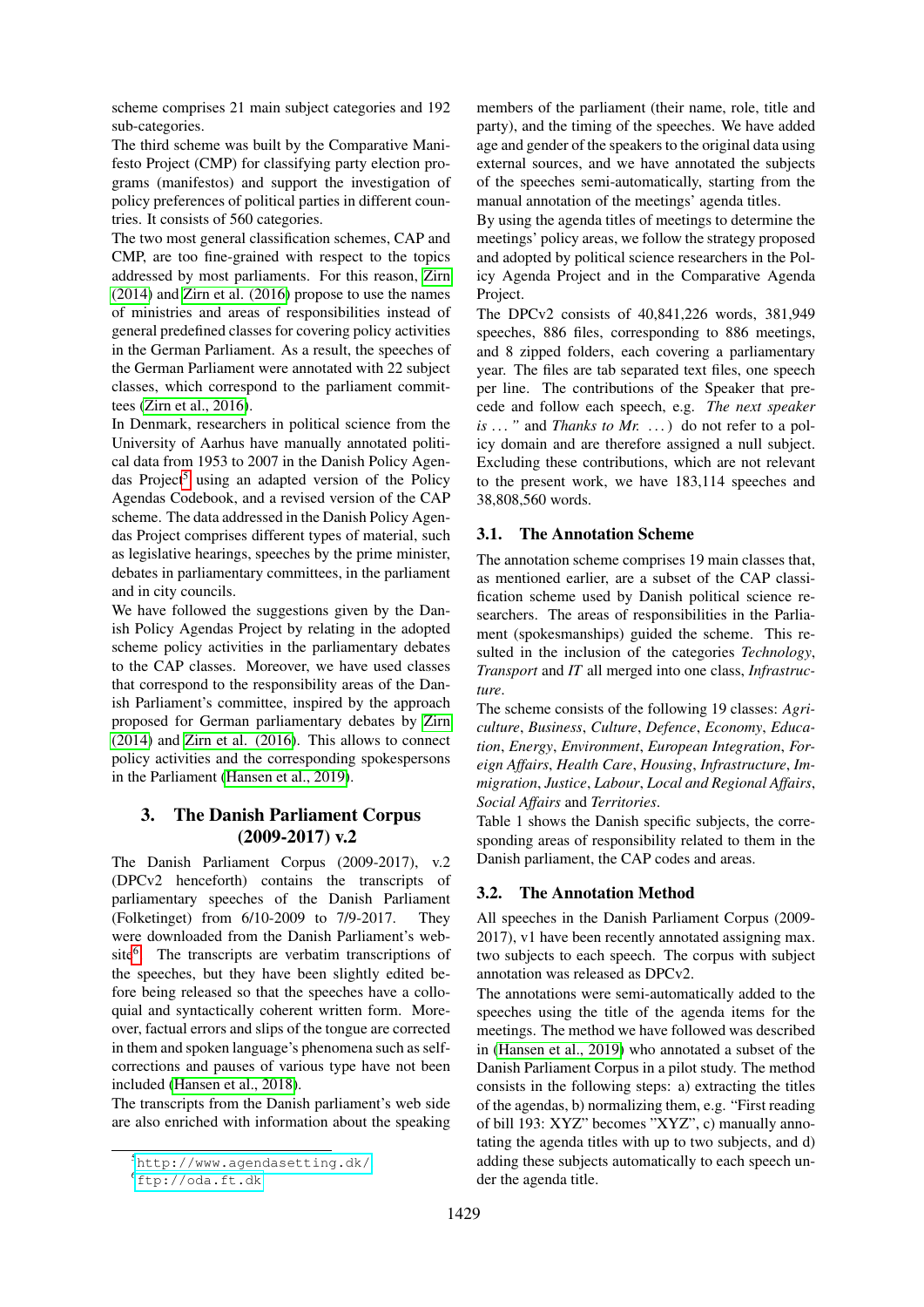scheme comprises 21 main subject categories and 192 sub-categories.

The third scheme was built by the Comparative Manifesto Project (CMP) for classifying party election programs (manifestos) and support the investigation of policy preferences of political parties in different countries. It consists of 560 categories.

The two most general classification schemes, CAP and CMP, are too fine-grained with respect to the topics addressed by most parliaments. For this reason, [Zirn](#page-8-0) [\(2014\)](#page-8-0) and [Zirn et al. \(2016\)](#page-8-1) propose to use the names of ministries and areas of responsibilities instead of general predefined classes for covering policy activities in the German Parliament. As a result, the speeches of the German Parliament were annotated with 22 subject classes, which correspond to the parliament committees [\(Zirn et al., 2016\)](#page-8-1).

In Denmark, researchers in political science from the University of Aarhus have manually annotated political data from 1953 to 2007 in the Danish Policy Agen-das Project<sup>[5](#page-1-1)</sup> using an adapted version of the Policy Agendas Codebook, and a revised version of the CAP scheme. The data addressed in the Danish Policy Agendas Project comprises different types of material, such as legislative hearings, speeches by the prime minister, debates in parliamentary committees, in the parliament and in city councils.

We have followed the suggestions given by the Danish Policy Agendas Project by relating in the adopted scheme policy activities in the parliamentary debates to the CAP classes. Moreover, we have used classes that correspond to the responsibility areas of the Danish Parliament's committee, inspired by the approach proposed for German parliamentary debates by [Zirn](#page-8-0) [\(2014\)](#page-8-0) and [Zirn et al. \(2016\)](#page-8-1). This allows to connect policy activities and the corresponding spokespersons in the Parliament [\(Hansen et al., 2019\)](#page-7-5).

# <span id="page-1-0"></span>3. The Danish Parliament Corpus (2009-2017) v.2

The Danish Parliament Corpus (2009-2017), v.2 (DPCv2 henceforth) contains the transcripts of parliamentary speeches of the Danish Parliament (Folketinget) from 6/10-2009 to 7/9-2017. They were downloaded from the Danish Parliament's web-site<sup>[6](#page-1-2)</sup>. The transcripts are verbatim transcriptions of the speeches, but they have been slightly edited before being released so that the speeches have a colloquial and syntactically coherent written form. Moreover, factual errors and slips of the tongue are corrected in them and spoken language's phenomena such as selfcorrections and pauses of various type have not been included [\(Hansen et al., 2018\)](#page-7-6).

The transcripts from the Danish parliament's web side are also enriched with information about the speaking

members of the parliament (their name, role, title and party), and the timing of the speeches. We have added age and gender of the speakers to the original data using external sources, and we have annotated the subjects of the speeches semi-automatically, starting from the manual annotation of the meetings' agenda titles.

By using the agenda titles of meetings to determine the meetings' policy areas, we follow the strategy proposed and adopted by political science researchers in the Policy Agenda Project and in the Comparative Agenda Project.

The DPCv2 consists of 40,841,226 words, 381,949 speeches, 886 files, corresponding to 886 meetings, and 8 zipped folders, each covering a parliamentary year. The files are tab separated text files, one speech per line. The contributions of the Speaker that precede and follow each speech, e.g. *The next speaker is . . . "* and *Thanks to Mr. . . .*) do not refer to a policy domain and are therefore assigned a null subject. Excluding these contributions, which are not relevant to the present work, we have 183,114 speeches and 38,808,560 words.

### 3.1. The Annotation Scheme

The annotation scheme comprises 19 main classes that, as mentioned earlier, are a subset of the CAP classification scheme used by Danish political science researchers. The areas of responsibilities in the Parliament (spokesmanships) guided the scheme. This resulted in the inclusion of the categories *Technology*, *Transport* and *IT* all merged into one class, *Infrastructure*.

The scheme consists of the following 19 classes: *Agriculture*, *Business*, *Culture*, *Defence*, *Economy*, *Education*, *Energy*, *Environment*, *European Integration*, *Foreign Affairs*, *Health Care*, *Housing*, *Infrastructure*, *Immigration*, *Justice*, *Labour*, *Local and Regional Affairs*, *Social Affairs* and *Territories*.

Table 1 shows the Danish specific subjects, the corresponding areas of responsibility related to them in the Danish parliament, the CAP codes and areas.

### 3.2. The Annotation Method

All speeches in the Danish Parliament Corpus (2009- 2017), v1 have been recently annotated assigning max. two subjects to each speech. The corpus with subject annotation was released as DPCv2.

The annotations were semi-automatically added to the speeches using the title of the agenda items for the meetings. The method we have followed was described in [\(Hansen et al., 2019\)](#page-7-5) who annotated a subset of the Danish Parliament Corpus in a pilot study. The method consists in the following steps: a) extracting the titles of the agendas, b) normalizing them, e.g. "First reading of bill 193: XYZ" becomes "XYZ", c) manually annotating the agenda titles with up to two subjects, and d) adding these subjects automatically to each speech under the agenda title.

<span id="page-1-1"></span><sup>5</sup><http://www.agendasetting.dk/>.

<span id="page-1-2"></span> $^{6}$ <ftp://oda.ft.dk>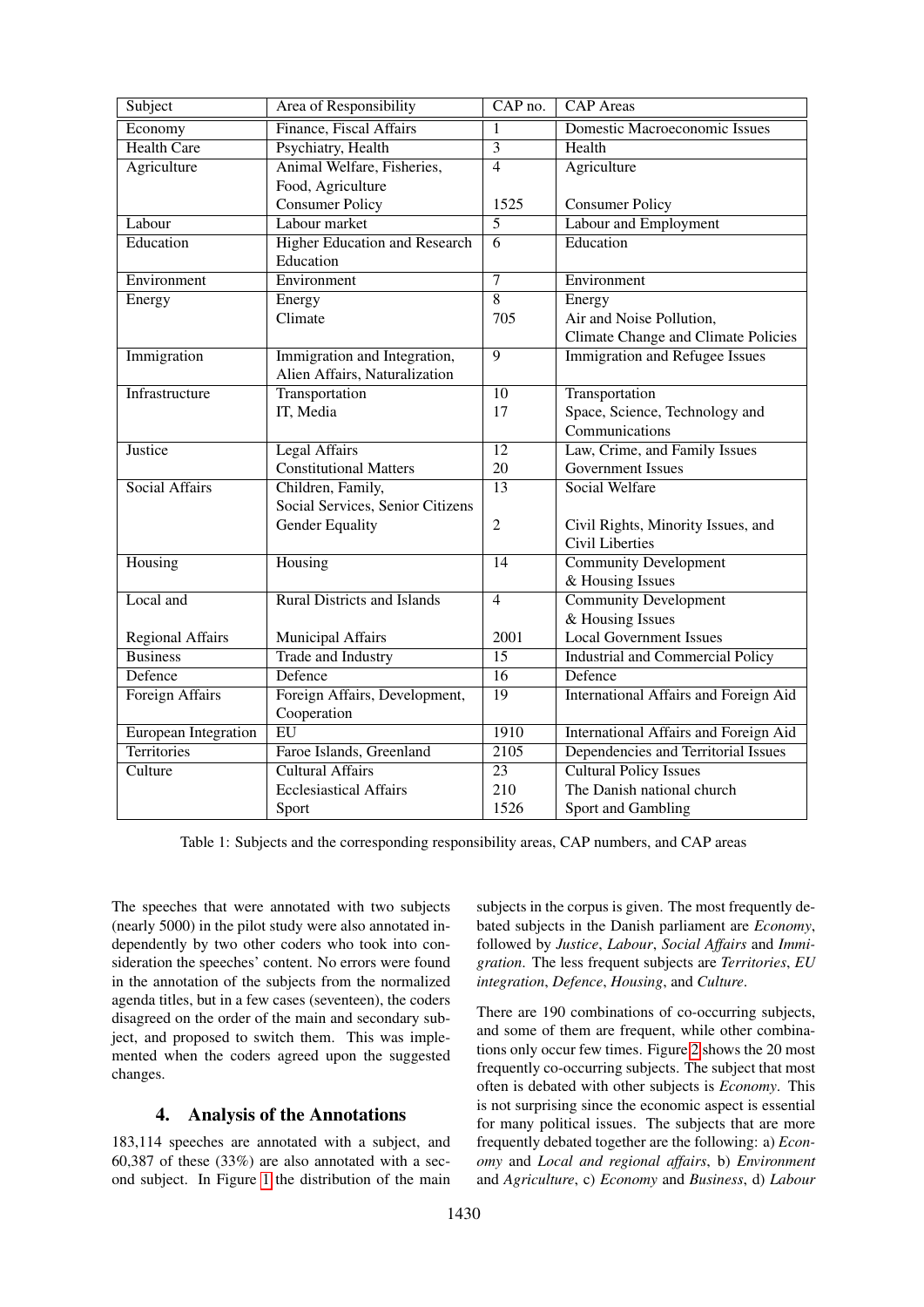| Subject                 | Area of Responsibility               | CAP no.           | <b>CAP</b> Areas                        |
|-------------------------|--------------------------------------|-------------------|-----------------------------------------|
| Economy                 | Finance, Fiscal Affairs              | $\mathbf{1}$      | Domestic Macroeconomic Issues           |
| <b>Health Care</b>      | Psychiatry, Health                   | $\overline{3}$    | Health                                  |
| Agriculture             | Animal Welfare, Fisheries,           | $\overline{4}$    | Agriculture                             |
|                         | Food, Agriculture                    |                   |                                         |
|                         | <b>Consumer Policy</b>               | 1525              | <b>Consumer Policy</b>                  |
| Labour                  | Labour market                        | $\overline{5}$    | Labour and Employment                   |
| Education               | <b>Higher Education and Research</b> | 6                 | Education                               |
|                         | Education                            |                   |                                         |
| Environment             | Environment                          | $\overline{7}$    | Environment                             |
| Energy                  | Energy                               | $\overline{8}$    | Energy                                  |
|                         | Climate                              | 705               | Air and Noise Pollution,                |
|                         |                                      |                   | Climate Change and Climate Policies     |
| Immigration             | Immigration and Integration,         | 9                 | <b>Immigration and Refugee Issues</b>   |
|                         | Alien Affairs, Naturalization        |                   |                                         |
| Infrastructure          | Transportation                       | 10                | Transportation                          |
|                         | IT, Media                            | 17                | Space, Science, Technology and          |
|                         |                                      |                   | Communications                          |
| Justice                 | <b>Legal Affairs</b>                 | $\overline{12}$   | Law, Crime, and Family Issues           |
|                         | <b>Constitutional Matters</b>        | 20                | <b>Government Issues</b>                |
| Social Affairs          | Children, Family,                    | $\overline{13}$   | Social Welfare                          |
|                         | Social Services, Senior Citizens     |                   |                                         |
|                         | <b>Gender Equality</b>               | $\overline{2}$    | Civil Rights, Minority Issues, and      |
|                         |                                      |                   | <b>Civil Liberties</b>                  |
| Housing                 | Housing                              | 14                | <b>Community Development</b>            |
|                         |                                      |                   | & Housing Issues                        |
| Local and               | <b>Rural Districts and Islands</b>   | $\overline{4}$    | <b>Community Development</b>            |
|                         |                                      |                   | & Housing Issues                        |
| <b>Regional Affairs</b> | Municipal Affairs                    | 2001              | <b>Local Government Issues</b>          |
| <b>Business</b>         | <b>Trade and Industry</b>            | $\overline{15}$   | <b>Industrial and Commercial Policy</b> |
| Defence                 | Defence                              | 16                | Defence                                 |
| <b>Foreign Affairs</b>  | Foreign Affairs, Development,        | $\overline{19}$   | International Affairs and Foreign Aid   |
|                         | Cooperation                          |                   |                                         |
| European Integration    | $\overline{EU}$                      | 1910              | International Affairs and Foreign Aid   |
| <b>Territories</b>      | Faroe Islands, Greenland             | $\overline{2105}$ | Dependencies and Territorial Issues     |
| Culture                 | <b>Cultural Affairs</b>              | $\overline{23}$   | <b>Cultural Policy Issues</b>           |
|                         | <b>Ecclesiastical Affairs</b>        | 210               | The Danish national church              |
|                         | Sport                                | 1526              | Sport and Gambling                      |

Table 1: Subjects and the corresponding responsibility areas, CAP numbers, and CAP areas

The speeches that were annotated with two subjects (nearly 5000) in the pilot study were also annotated independently by two other coders who took into consideration the speeches' content. No errors were found in the annotation of the subjects from the normalized agenda titles, but in a few cases (seventeen), the coders disagreed on the order of the main and secondary subject, and proposed to switch them. This was implemented when the coders agreed upon the suggested changes.

# 4. Analysis of the Annotations

<span id="page-2-0"></span>183,114 speeches are annotated with a subject, and 60,387 of these (33%) are also annotated with a second subject. In Figure [1](#page-3-1) the distribution of the main

subjects in the corpus is given. The most frequently debated subjects in the Danish parliament are *Economy*, followed by *Justice*, *Labour*, *Social Affairs* and *Immigration*. The less frequent subjects are *Territories*, *EU integration*, *Defence*, *Housing*, and *Culture*.

There are 190 combinations of co-occurring subjects, and some of them are frequent, while other combinations only occur few times. Figure [2](#page-4-0) shows the 20 most frequently co-occurring subjects. The subject that most often is debated with other subjects is *Economy*. This is not surprising since the economic aspect is essential for many political issues. The subjects that are more frequently debated together are the following: a) *Economy* and *Local and regional affairs*, b) *Environment* and *Agriculture*, c) *Economy* and *Business*, d) *Labour*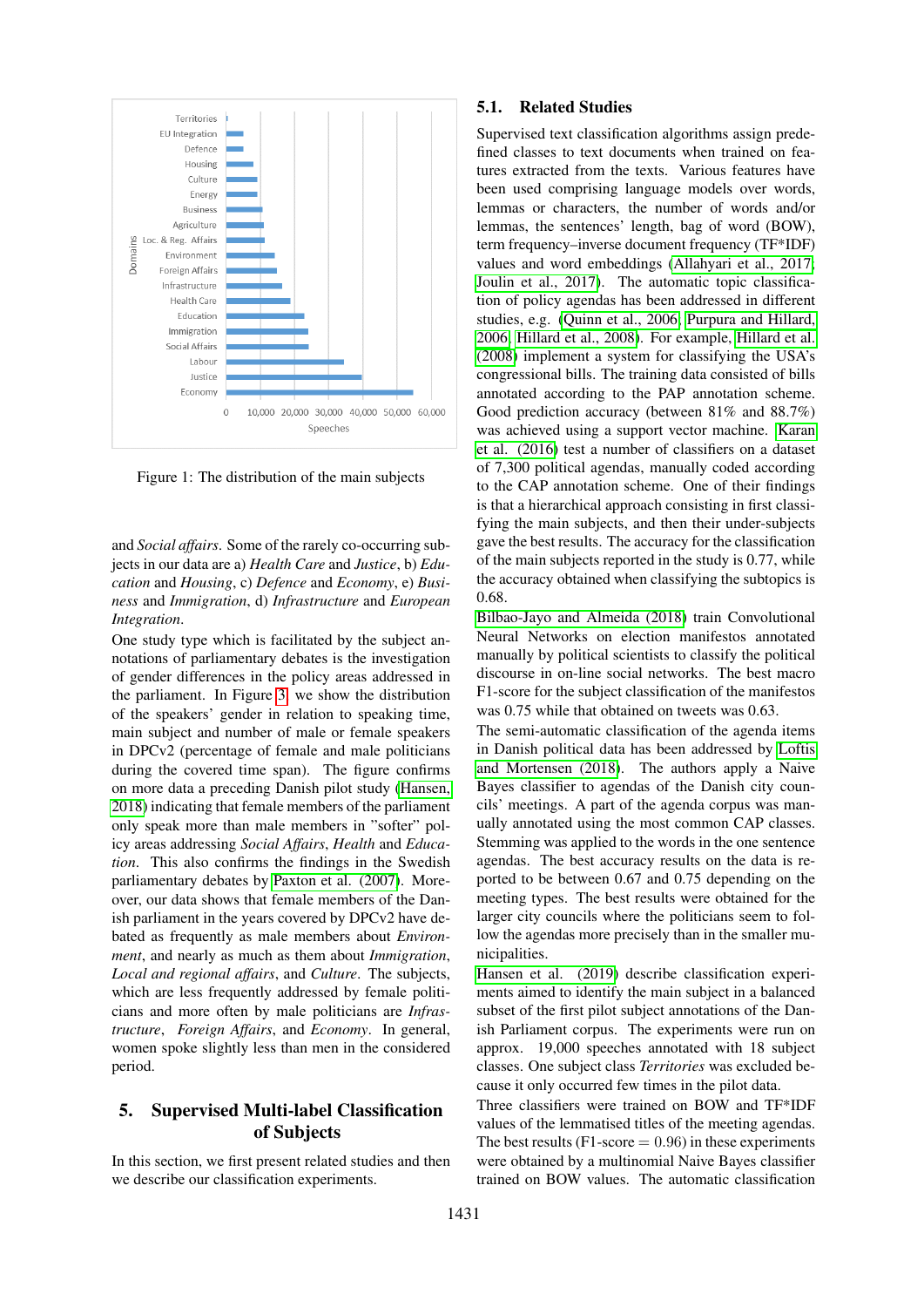

<span id="page-3-1"></span>Figure 1: The distribution of the main subjects

and *Social affairs*. Some of the rarely co-occurring subjects in our data are a) *Health Care* and *Justice*, b) *Education* and *Housing*, c) *Defence* and *Economy*, e) *Business* and *Immigration*, d) *Infrastructure* and *European Integration*.

One study type which is facilitated by the subject annotations of parliamentary debates is the investigation of gender differences in the policy areas addressed in the parliament. In Figure [3,](#page-4-1) we show the distribution of the speakers' gender in relation to speaking time, main subject and number of male or female speakers in DPCv2 (percentage of female and male politicians during the covered time span). The figure confirms on more data a preceding Danish pilot study [\(Hansen,](#page-7-7) [2018\)](#page-7-7) indicating that female members of the parliament only speak more than male members in "softer" policy areas addressing *Social Affairs*, *Health* and *Education*. This also confirms the findings in the Swedish parliamentary debates by [Paxton et al. \(2007\)](#page-7-8). Moreover, our data shows that female members of the Danish parliament in the years covered by DPCv2 have debated as frequently as male members about *Environment*, and nearly as much as them about *Immigration*, *Local and regional affairs*, and *Culture*. The subjects, which are less frequently addressed by female politicians and more often by male politicians are *Infrastructure*, *Foreign Affairs*, and *Economy*. In general, women spoke slightly less than men in the considered period.

# <span id="page-3-0"></span>5. Supervised Multi-label Classification of Subjects

In this section, we first present related studies and then we describe our classification experiments.

#### 5.1. Related Studies

Supervised text classification algorithms assign predefined classes to text documents when trained on features extracted from the texts. Various features have been used comprising language models over words, lemmas or characters, the number of words and/or lemmas, the sentences' length, bag of word (BOW), term frequency–inverse document frequency (TF\*IDF) values and word embeddings [\(Allahyari et al., 2017;](#page-7-9) [Joulin et al., 2017\)](#page-7-10). The automatic topic classification of policy agendas has been addressed in different studies, e.g. [\(Quinn et al., 2006;](#page-8-2) [Purpura and Hillard,](#page-8-3) [2006;](#page-8-3) [Hillard et al., 2008\)](#page-7-11). For example, [Hillard et al.](#page-7-11) [\(2008\)](#page-7-11) implement a system for classifying the USA's congressional bills. The training data consisted of bills annotated according to the PAP annotation scheme. Good prediction accuracy (between 81% and 88.7%) was achieved using a support vector machine. [Karan](#page-7-12) [et al. \(2016\)](#page-7-12) test a number of classifiers on a dataset of 7,300 political agendas, manually coded according to the CAP annotation scheme. One of their findings is that a hierarchical approach consisting in first classifying the main subjects, and then their under-subjects gave the best results. The accuracy for the classification of the main subjects reported in the study is 0.77, while the accuracy obtained when classifying the subtopics is 0.68.

[Bilbao-Jayo and Almeida \(2018\)](#page-7-13) train Convolutional Neural Networks on election manifestos annotated manually by political scientists to classify the political discourse in on-line social networks. The best macro F1-score for the subject classification of the manifestos was 0.75 while that obtained on tweets was 0.63.

The semi-automatic classification of the agenda items in Danish political data has been addressed by [Loftis](#page-7-14) [and Mortensen \(2018\)](#page-7-14). The authors apply a Naive Bayes classifier to agendas of the Danish city councils' meetings. A part of the agenda corpus was manually annotated using the most common CAP classes. Stemming was applied to the words in the one sentence agendas. The best accuracy results on the data is reported to be between 0.67 and 0.75 depending on the meeting types. The best results were obtained for the larger city councils where the politicians seem to follow the agendas more precisely than in the smaller municipalities.

[Hansen et al. \(2019\)](#page-7-5) describe classification experiments aimed to identify the main subject in a balanced subset of the first pilot subject annotations of the Danish Parliament corpus. The experiments were run on approx. 19,000 speeches annotated with 18 subject classes. One subject class *Territories* was excluded because it only occurred few times in the pilot data.

Three classifiers were trained on BOW and TF\*IDF values of the lemmatised titles of the meeting agendas. The best results (F1-score  $= 0.96$ ) in these experiments were obtained by a multinomial Naive Bayes classifier trained on BOW values. The automatic classification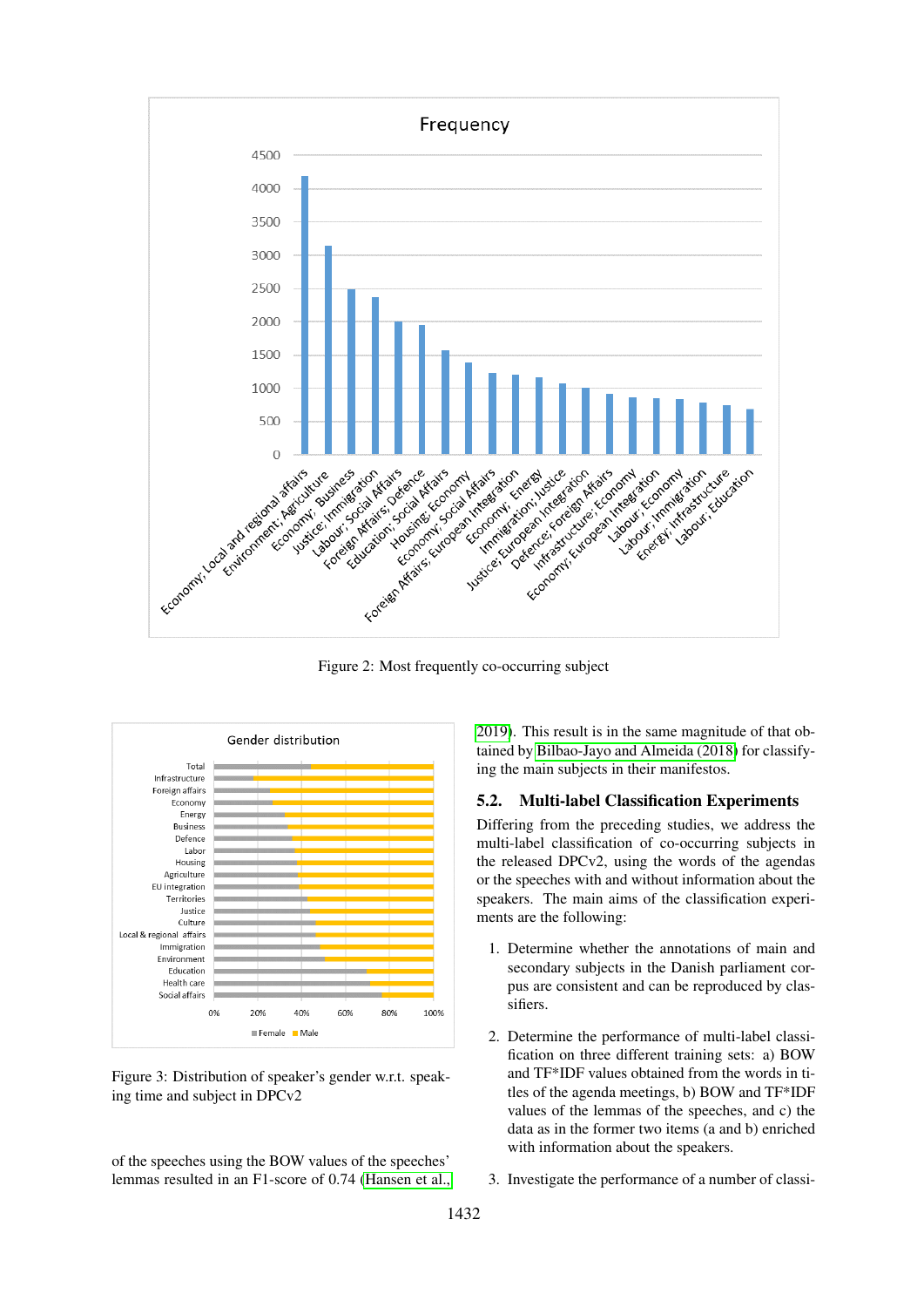

<span id="page-4-0"></span>Figure 2: Most frequently co-occurring subject



<span id="page-4-1"></span>Figure 3: Distribution of speaker's gender w.r.t. speaking time and subject in DPCv2

of the speeches using the BOW values of the speeches' lemmas resulted in an F1-score of 0.74 [\(Hansen et al.,](#page-7-5) [2019\)](#page-7-5). This result is in the same magnitude of that obtained by [Bilbao-Jayo and Almeida \(2018\)](#page-7-13) for classifying the main subjects in their manifestos.

#### 5.2. Multi-label Classification Experiments

Differing from the preceding studies, we address the multi-label classification of co-occurring subjects in the released DPCv2, using the words of the agendas or the speeches with and without information about the speakers. The main aims of the classification experiments are the following:

- 1. Determine whether the annotations of main and secondary subjects in the Danish parliament corpus are consistent and can be reproduced by classifiers.
- 2. Determine the performance of multi-label classification on three different training sets: a) BOW and TF\*IDF values obtained from the words in titles of the agenda meetings, b) BOW and TF\*IDF values of the lemmas of the speeches, and c) the data as in the former two items (a and b) enriched with information about the speakers.
- 3. Investigate the performance of a number of classi-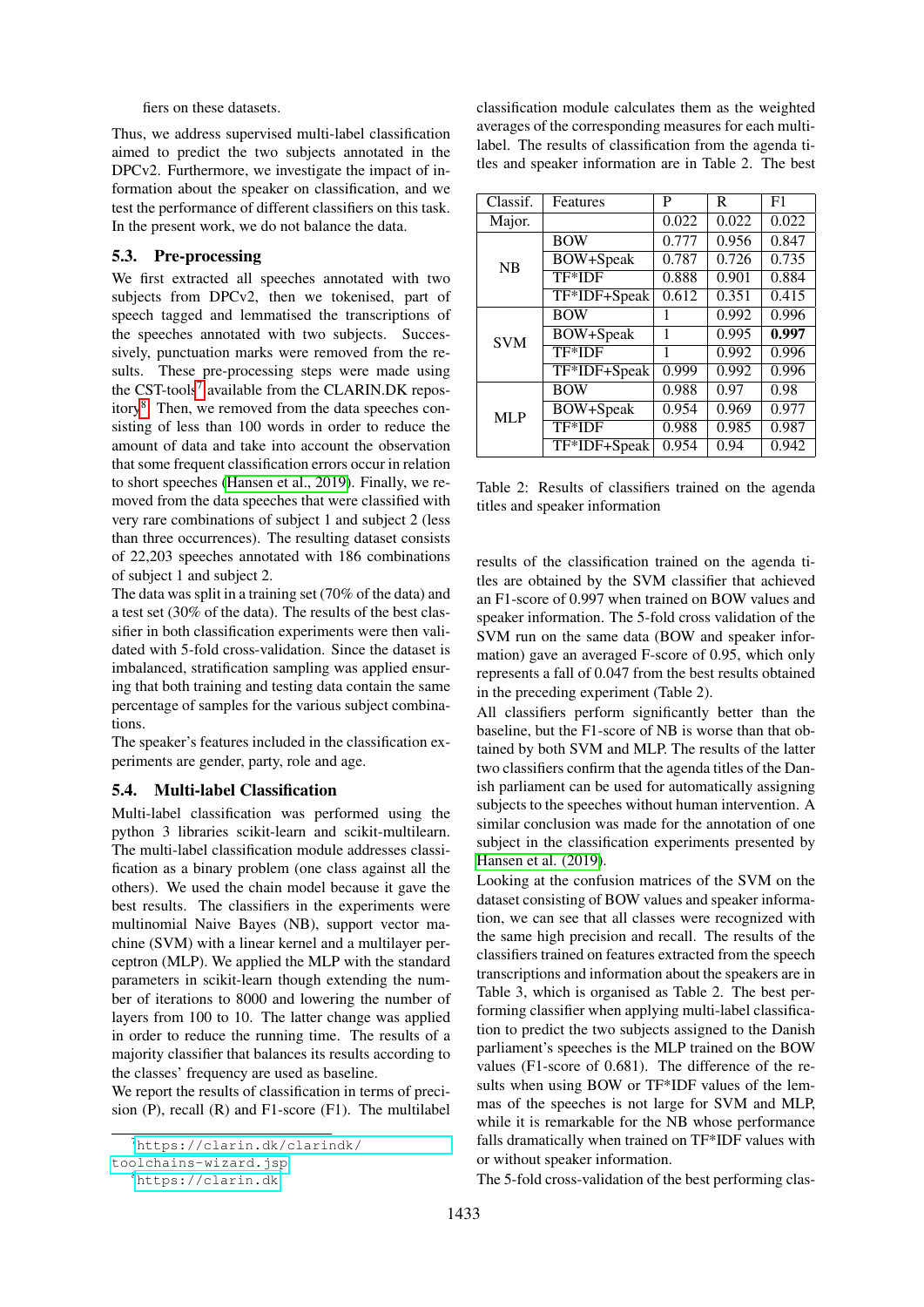fiers on these datasets.

Thus, we address supervised multi-label classification aimed to predict the two subjects annotated in the DPCv2. Furthermore, we investigate the impact of information about the speaker on classification, and we test the performance of different classifiers on this task. In the present work, we do not balance the data.

#### 5.3. Pre-processing

We first extracted all speeches annotated with two subjects from DPCv2, then we tokenised, part of speech tagged and lemmatised the transcriptions of the speeches annotated with two subjects. Successively, punctuation marks were removed from the results. These pre-processing steps were made using the CST-tools<sup>[7](#page-5-0)</sup> available from the CLARIN.DK repos-itory<sup>[8](#page-5-1)</sup>. Then, we removed from the data speeches consisting of less than 100 words in order to reduce the amount of data and take into account the observation that some frequent classification errors occur in relation to short speeches [\(Hansen et al., 2019\)](#page-7-5). Finally, we removed from the data speeches that were classified with very rare combinations of subject 1 and subject 2 (less than three occurrences). The resulting dataset consists of 22,203 speeches annotated with 186 combinations of subject 1 and subject 2.

The data was split in a training set (70% of the data) and a test set (30% of the data). The results of the best classifier in both classification experiments were then validated with 5-fold cross-validation. Since the dataset is imbalanced, stratification sampling was applied ensuring that both training and testing data contain the same percentage of samples for the various subject combinations.

The speaker's features included in the classification experiments are gender, party, role and age.

#### 5.4. Multi-label Classification

Multi-label classification was performed using the python 3 libraries scikit-learn and scikit-multilearn. The multi-label classification module addresses classification as a binary problem (one class against all the others). We used the chain model because it gave the best results. The classifiers in the experiments were multinomial Naive Bayes (NB), support vector machine (SVM) with a linear kernel and a multilayer perceptron (MLP). We applied the MLP with the standard parameters in scikit-learn though extending the number of iterations to 8000 and lowering the number of layers from 100 to 10. The latter change was applied in order to reduce the running time. The results of a majority classifier that balances its results according to the classes' frequency are used as baseline.

We report the results of classification in terms of precision (P), recall (R) and F1-score (F1). The multilabel classification module calculates them as the weighted averages of the corresponding measures for each multilabel. The results of classification from the agenda titles and speaker information are in Table 2. The best

| Classif.   | Features         | P     | R     | F1    |
|------------|------------------|-------|-------|-------|
| Major.     |                  | 0.022 | 0.022 | 0.022 |
| <b>NB</b>  | <b>BOW</b>       | 0.777 | 0.956 | 0.847 |
|            | <b>BOW+Speak</b> | 0.787 | 0.726 | 0.735 |
|            | TF*IDF           | 0.888 | 0.901 | 0.884 |
|            | TF*IDF+Speak     | 0.612 | 0.351 | 0.415 |
| <b>SVM</b> | <b>BOW</b>       | 1     | 0.992 | 0.996 |
|            | BOW+Speak        | 1     | 0.995 | 0.997 |
|            | TF*IDF           | 1     | 0.992 | 0.996 |
|            | TF*IDF+Speak     | 0.999 | 0.992 | 0.996 |
| MLP        | <b>BOW</b>       | 0.988 | 0.97  | 0.98  |
|            | <b>BOW+Speak</b> | 0.954 | 0.969 | 0.977 |
|            | TF*IDF           | 0.988 | 0.985 | 0.987 |
|            | TF*IDF+Speak     | 0.954 | 0.94  | 0.942 |

Table 2: Results of classifiers trained on the agenda titles and speaker information

results of the classification trained on the agenda titles are obtained by the SVM classifier that achieved an F1-score of 0.997 when trained on BOW values and speaker information. The 5-fold cross validation of the SVM run on the same data (BOW and speaker information) gave an averaged F-score of 0.95, which only represents a fall of 0.047 from the best results obtained in the preceding experiment (Table 2).

All classifiers perform significantly better than the baseline, but the F1-score of NB is worse than that obtained by both SVM and MLP. The results of the latter two classifiers confirm that the agenda titles of the Danish parliament can be used for automatically assigning subjects to the speeches without human intervention. A similar conclusion was made for the annotation of one subject in the classification experiments presented by [Hansen et al. \(2019\)](#page-7-5).

Looking at the confusion matrices of the SVM on the dataset consisting of BOW values and speaker information, we can see that all classes were recognized with the same high precision and recall. The results of the classifiers trained on features extracted from the speech transcriptions and information about the speakers are in Table 3, which is organised as Table 2. The best performing classifier when applying multi-label classification to predict the two subjects assigned to the Danish parliament's speeches is the MLP trained on the BOW values (F1-score of 0.681). The difference of the results when using BOW or TF\*IDF values of the lemmas of the speeches is not large for SVM and MLP, while it is remarkable for the NB whose performance falls dramatically when trained on TF\*IDF values with or without speaker information.

The 5-fold cross-validation of the best performing clas-

<span id="page-5-0"></span><sup>7</sup>[https://clarin.dk/clarindk/](https://clarin.dk/clarindk/toolchains-wizard.jsp)

[toolchains-wizard.jsp](https://clarin.dk/clarindk/toolchains-wizard.jsp)

<span id="page-5-1"></span><sup>8</sup><https://clarin.dk>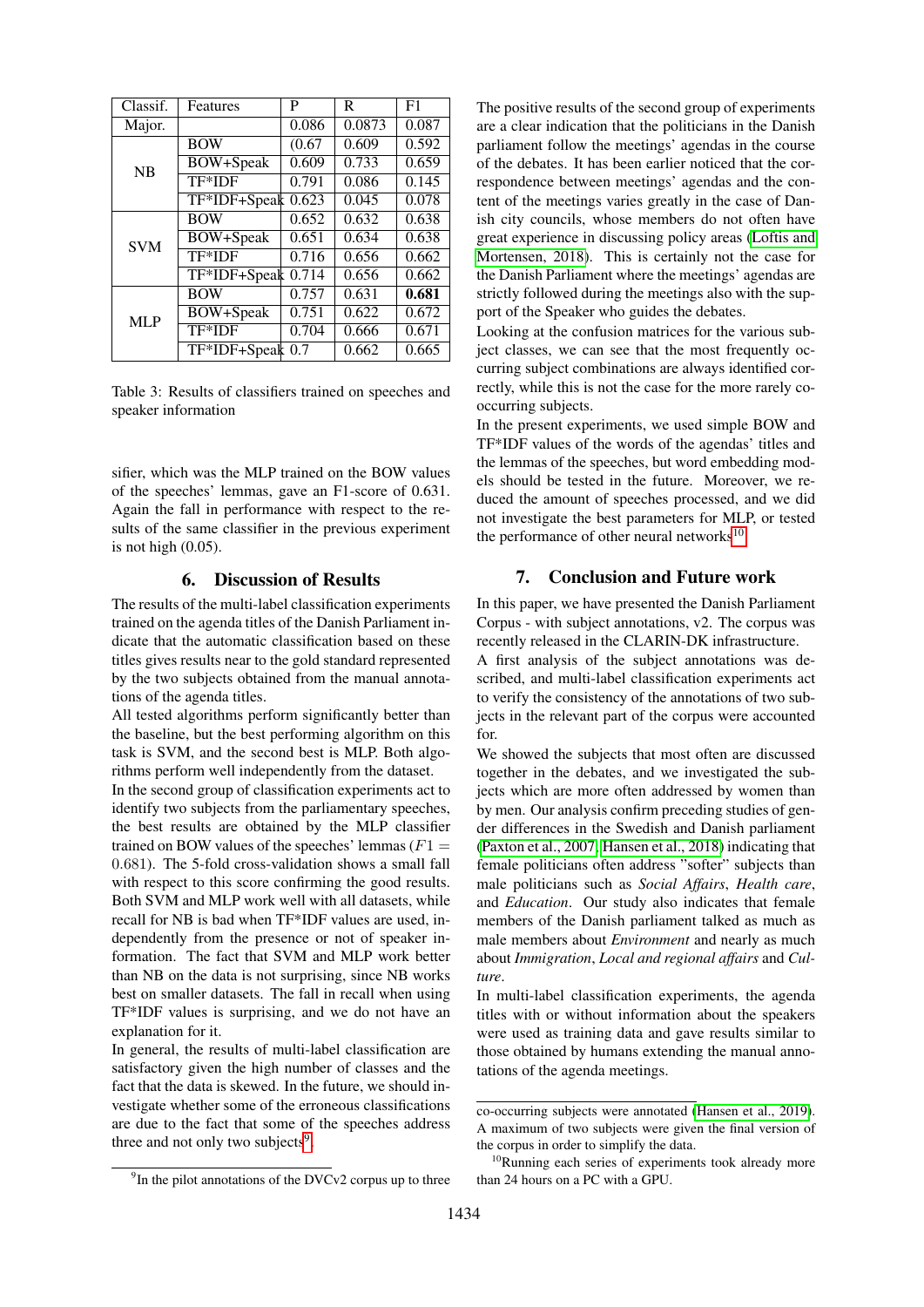| Classif.   | Features             | P      | R      | F1    |
|------------|----------------------|--------|--------|-------|
| Major.     |                      | 0.086  | 0.0873 | 0.087 |
| <b>NB</b>  | <b>BOW</b>           | (0.67) | 0.609  | 0.592 |
|            | BOW+Speak            | 0.609  | 0.733  | 0.659 |
|            | TF*IDF               | 0.791  | 0.086  | 0.145 |
|            | TF*IDF+Speak 0.623   |        | 0.045  | 0.078 |
| <b>SVM</b> | <b>BOW</b>           | 0.652  | 0.632  | 0.638 |
|            | <b>BOW+Speak</b>     | 0.651  | 0.634  | 0.638 |
|            | TF*IDF               | 0.716  | 0.656  | 0.662 |
|            | $TF*IDF+Speak$ 0.714 |        | 0.656  | 0.662 |
| MLP        | <b>BOW</b>           | 0.757  | 0.631  | 0.681 |
|            | BOW+Speak            | 0.751  | 0.622  | 0.672 |
|            | TF*IDF               | 0.704  | 0.666  | 0.671 |
|            | TF*IDF+Speak 0.7     |        | 0.662  | 0.665 |

Table 3: Results of classifiers trained on speeches and speaker information

sifier, which was the MLP trained on the BOW values of the speeches' lemmas, gave an F1-score of 0.631. Again the fall in performance with respect to the results of the same classifier in the previous experiment is not high  $(0.05)$ .

#### 6. Discussion of Results

<span id="page-6-0"></span>The results of the multi-label classification experiments trained on the agenda titles of the Danish Parliament indicate that the automatic classification based on these titles gives results near to the gold standard represented by the two subjects obtained from the manual annotations of the agenda titles.

All tested algorithms perform significantly better than the baseline, but the best performing algorithm on this task is SVM, and the second best is MLP. Both algorithms perform well independently from the dataset.

In the second group of classification experiments act to identify two subjects from the parliamentary speeches, the best results are obtained by the MLP classifier trained on BOW values of the speeches' lemmas ( $F1 =$ 0.681). The 5-fold cross-validation shows a small fall with respect to this score confirming the good results. Both SVM and MLP work well with all datasets, while recall for NB is bad when TF\*IDF values are used, independently from the presence or not of speaker information. The fact that SVM and MLP work better than NB on the data is not surprising, since NB works best on smaller datasets. The fall in recall when using TF\*IDF values is surprising, and we do not have an explanation for it.

In general, the results of multi-label classification are satisfactory given the high number of classes and the fact that the data is skewed. In the future, we should investigate whether some of the erroneous classifications are due to the fact that some of the speeches address three and not only two subjects<sup>[9](#page-6-2)</sup>.

The positive results of the second group of experiments are a clear indication that the politicians in the Danish parliament follow the meetings' agendas in the course of the debates. It has been earlier noticed that the correspondence between meetings' agendas and the content of the meetings varies greatly in the case of Danish city councils, whose members do not often have great experience in discussing policy areas [\(Loftis and](#page-7-14) [Mortensen, 2018\)](#page-7-14). This is certainly not the case for the Danish Parliament where the meetings' agendas are strictly followed during the meetings also with the support of the Speaker who guides the debates.

Looking at the confusion matrices for the various subject classes, we can see that the most frequently occurring subject combinations are always identified correctly, while this is not the case for the more rarely cooccurring subjects.

In the present experiments, we used simple BOW and TF\*IDF values of the words of the agendas' titles and the lemmas of the speeches, but word embedding models should be tested in the future. Moreover, we reduced the amount of speeches processed, and we did not investigate the best parameters for MLP, or tested the performance of other neural networks $^{10}$  $^{10}$  $^{10}$ .

# 7. Conclusion and Future work

<span id="page-6-1"></span>In this paper, we have presented the Danish Parliament Corpus - with subject annotations, v2. The corpus was recently released in the CLARIN-DK infrastructure.

A first analysis of the subject annotations was described, and multi-label classification experiments act to verify the consistency of the annotations of two subjects in the relevant part of the corpus were accounted for.

We showed the subjects that most often are discussed together in the debates, and we investigated the subjects which are more often addressed by women than by men. Our analysis confirm preceding studies of gender differences in the Swedish and Danish parliament [\(Paxton et al., 2007;](#page-7-8) [Hansen et al., 2018\)](#page-7-6) indicating that female politicians often address "softer" subjects than male politicians such as *Social Affairs*, *Health care*, and *Education*. Our study also indicates that female members of the Danish parliament talked as much as male members about *Environment* and nearly as much about *Immigration*, *Local and regional affairs* and *Culture*.

In multi-label classification experiments, the agenda titles with or without information about the speakers were used as training data and gave results similar to those obtained by humans extending the manual annotations of the agenda meetings.

<span id="page-6-2"></span><sup>&</sup>lt;sup>9</sup>In the pilot annotations of the DVCv2 corpus up to three

co-occurring subjects were annotated [\(Hansen et al., 2019\)](#page-7-5). A maximum of two subjects were given the final version of the corpus in order to simplify the data.

<span id="page-6-3"></span><sup>&</sup>lt;sup>10</sup>Running each series of experiments took already more than 24 hours on a PC with a GPU.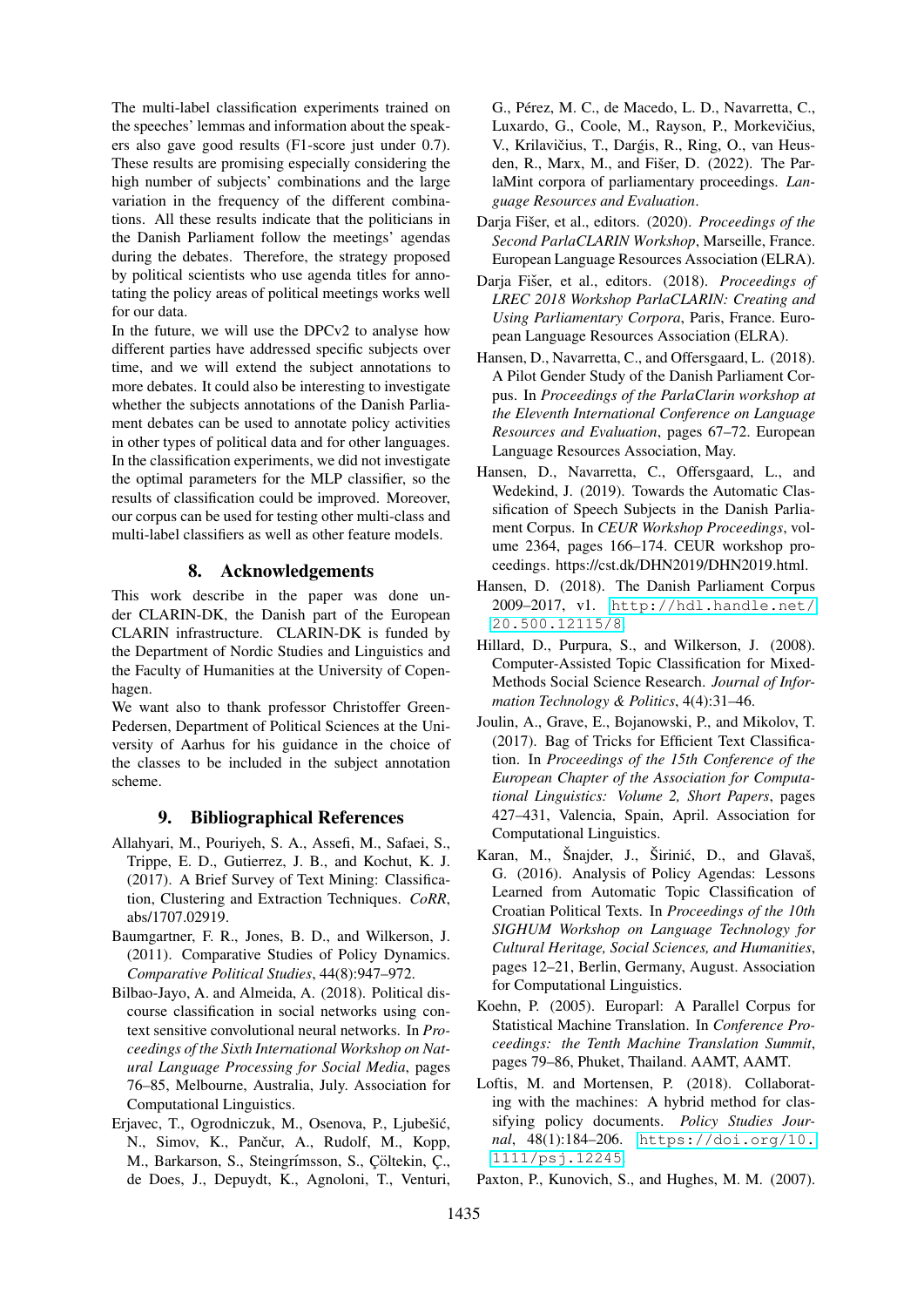The multi-label classification experiments trained on the speeches' lemmas and information about the speakers also gave good results (F1-score just under 0.7). These results are promising especially considering the high number of subjects' combinations and the large variation in the frequency of the different combinations. All these results indicate that the politicians in the Danish Parliament follow the meetings' agendas during the debates. Therefore, the strategy proposed by political scientists who use agenda titles for annotating the policy areas of political meetings works well for our data.

In the future, we will use the DPCv2 to analyse how different parties have addressed specific subjects over time, and we will extend the subject annotations to more debates. It could also be interesting to investigate whether the subjects annotations of the Danish Parliament debates can be used to annotate policy activities in other types of political data and for other languages. In the classification experiments, we did not investigate the optimal parameters for the MLP classifier, so the results of classification could be improved. Moreover, our corpus can be used for testing other multi-class and multi-label classifiers as well as other feature models.

# 8. Acknowledgements

This work describe in the paper was done under CLARIN-DK, the Danish part of the European CLARIN infrastructure. CLARIN-DK is funded by the Department of Nordic Studies and Linguistics and the Faculty of Humanities at the University of Copenhagen.

We want also to thank professor Christoffer Green-Pedersen, Department of Political Sciences at the University of Aarhus for his guidance in the choice of the classes to be included in the subject annotation scheme.

#### 9. Bibliographical References

- <span id="page-7-9"></span>Allahyari, M., Pouriyeh, S. A., Assefi, M., Safaei, S., Trippe, E. D., Gutierrez, J. B., and Kochut, K. J. (2017). A Brief Survey of Text Mining: Classification, Clustering and Extraction Techniques. *CoRR*, abs/1707.02919.
- <span id="page-7-4"></span>Baumgartner, F. R., Jones, B. D., and Wilkerson, J. (2011). Comparative Studies of Policy Dynamics. *Comparative Political Studies*, 44(8):947–972.
- <span id="page-7-13"></span>Bilbao-Jayo, A. and Almeida, A. (2018). Political discourse classification in social networks using context sensitive convolutional neural networks. In *Proceedings of the Sixth International Workshop on Natural Language Processing for Social Media*, pages 76–85, Melbourne, Australia, July. Association for Computational Linguistics.
- <span id="page-7-3"></span>Erjavec, T., Ogrodniczuk, M., Osenova, P., Ljubešić, N., Simov, K., Pančur, A., Rudolf, M., Kopp, M., Barkarson, S., Steingrímsson, S., Cöltekin, C., de Does, J., Depuydt, K., Agnoloni, T., Venturi,

G., Pérez, M. C., de Macedo, L. D., Navarretta, C., Luxardo, G., Coole, M., Rayson, P., Morkevičius, V., Krilavičius, T., Dargis, R., Ring, O., van Heusden, R., Marx, M., and Fišer, D.  $(2022)$ . The ParlaMint corpora of parliamentary proceedings. *Language Resources and Evaluation*.

- <span id="page-7-1"></span>Darja Fišer, et al., editors. (2020). *Proceedings of the Second ParlaCLARIN Workshop*, Marseille, France. European Language Resources Association (ELRA).
- <span id="page-7-0"></span>Darja Fišer, et al., editors. (2018). Proceedings of *LREC 2018 Workshop ParlaCLARIN: Creating and Using Parliamentary Corpora*, Paris, France. European Language Resources Association (ELRA).
- <span id="page-7-6"></span>Hansen, D., Navarretta, C., and Offersgaard, L. (2018). A Pilot Gender Study of the Danish Parliament Corpus. In *Proceedings of the ParlaClarin workshop at the Eleventh International Conference on Language Resources and Evaluation*, pages 67–72. European Language Resources Association, May.
- <span id="page-7-5"></span>Hansen, D., Navarretta, C., Offersgaard, L., and Wedekind, J. (2019). Towards the Automatic Classification of Speech Subjects in the Danish Parliament Corpus. In *CEUR Workshop Proceedings*, volume 2364, pages 166–174. CEUR workshop proceedings. https://cst.dk/DHN2019/DHN2019.html.
- <span id="page-7-7"></span>Hansen, D. (2018). The Danish Parliament Corpus 2009–2017, v1. [http://hdl.handle.net/](http://hdl.handle.net/20.500.12115/8) [20.500.12115/8](http://hdl.handle.net/20.500.12115/8).
- <span id="page-7-11"></span>Hillard, D., Purpura, S., and Wilkerson, J. (2008). Computer-Assisted Topic Classification for Mixed-Methods Social Science Research. *Journal of Information Technology & Politics*, 4(4):31–46.
- <span id="page-7-10"></span>Joulin, A., Grave, E., Bojanowski, P., and Mikolov, T. (2017). Bag of Tricks for Efficient Text Classification. In *Proceedings of the 15th Conference of the European Chapter of the Association for Computational Linguistics: Volume 2, Short Papers*, pages 427–431, Valencia, Spain, April. Association for Computational Linguistics.
- <span id="page-7-12"></span>Karan, M., Šnajder, J., Širinić, D., and Glavaš, G. (2016). Analysis of Policy Agendas: Lessons Learned from Automatic Topic Classification of Croatian Political Texts. In *Proceedings of the 10th SIGHUM Workshop on Language Technology for Cultural Heritage, Social Sciences, and Humanities*, pages 12–21, Berlin, Germany, August. Association for Computational Linguistics.
- <span id="page-7-2"></span>Koehn, P. (2005). Europarl: A Parallel Corpus for Statistical Machine Translation. In *Conference Proceedings: the Tenth Machine Translation Summit*, pages 79–86, Phuket, Thailand. AAMT, AAMT.
- <span id="page-7-14"></span>Loftis, M. and Mortensen, P. (2018). Collaborating with the machines: A hybrid method for classifying policy documents. *Policy Studies Journal*, 48(1):184–206. [https://doi.org/10.](https://doi.org/10.1111/psj.12245) [1111/psj.12245](https://doi.org/10.1111/psj.12245).
- <span id="page-7-8"></span>Paxton, P., Kunovich, S., and Hughes, M. M. (2007).